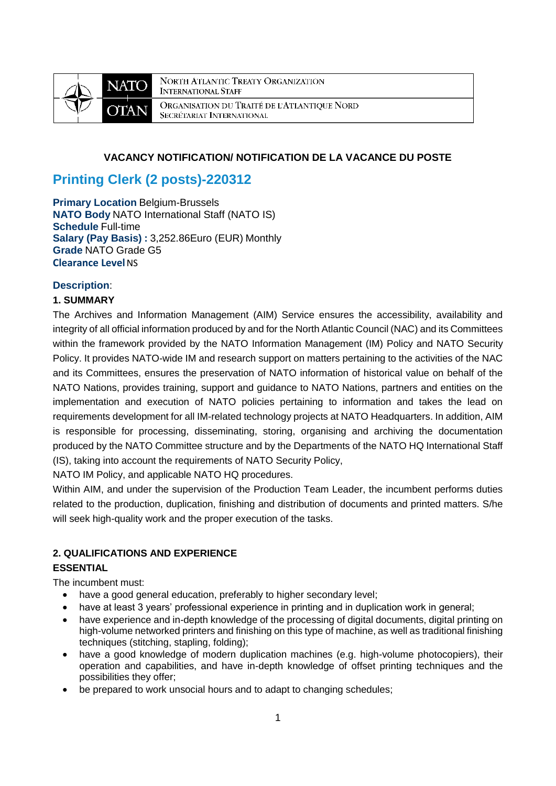

NORTH ATLANTIC TREATY ORGANIZATION **INTERNATIONAL STAFF** ORGANISATION DU TRAITÉ DE L'ATLANTIQUE NORD SECRÉTARIAT INTERNATIONAL

# **VACANCY NOTIFICATION/ NOTIFICATION DE LA VACANCE DU POSTE**

# **Printing Clerk (2 posts)-220312**

**Primary Location Belgium-Brussels NATO Body** NATO International Staff (NATO IS) **Schedule** Full-time **Salary (Pay Basis) :** 3,252.86Euro (EUR) Monthly **Grade** NATO Grade G5 **Clearance Level NS** 

# **Description**:

# **1. SUMMARY**

The Archives and Information Management (AIM) Service ensures the accessibility, availability and integrity of all official information produced by and for the North Atlantic Council (NAC) and its Committees within the framework provided by the NATO Information Management (IM) Policy and NATO Security Policy. It provides NATO-wide IM and research support on matters pertaining to the activities of the NAC and its Committees, ensures the preservation of NATO information of historical value on behalf of the NATO Nations, provides training, support and guidance to NATO Nations, partners and entities on the implementation and execution of NATO policies pertaining to information and takes the lead on requirements development for all IM-related technology projects at NATO Headquarters. In addition, AIM is responsible for processing, disseminating, storing, organising and archiving the documentation produced by the NATO Committee structure and by the Departments of the NATO HQ International Staff (IS), taking into account the requirements of NATO Security Policy,

NATO IM Policy, and applicable NATO HQ procedures.

Within AIM, and under the supervision of the Production Team Leader, the incumbent performs duties related to the production, duplication, finishing and distribution of documents and printed matters. S/he will seek high-quality work and the proper execution of the tasks.

# **2. QUALIFICATIONS AND EXPERIENCE**

# **ESSENTIAL**

The incumbent must:

- have a good general education, preferably to higher secondary level;
- have at least 3 years' professional experience in printing and in duplication work in general;
- have experience and in-depth knowledge of the processing of digital documents, digital printing on high-volume networked printers and finishing on this type of machine, as well as traditional finishing techniques (stitching, stapling, folding);
- have a good knowledge of modern duplication machines (e.g. high-volume photocopiers), their operation and capabilities, and have in-depth knowledge of offset printing techniques and the possibilities they offer;
- be prepared to work unsocial hours and to adapt to changing schedules;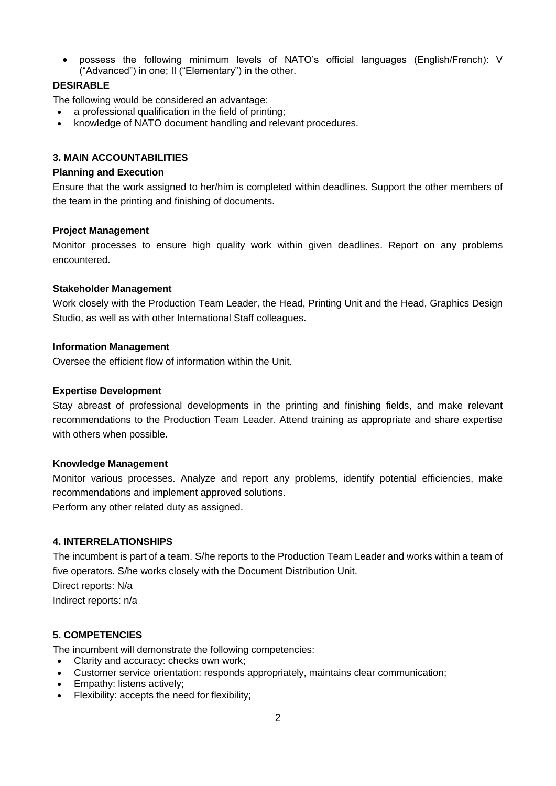possess the following minimum levels of NATO's official languages (English/French): V ("Advanced") in one; II ("Elementary") in the other.

# **DESIRABLE**

The following would be considered an advantage:

- a professional qualification in the field of printing;
- knowledge of NATO document handling and relevant procedures.

## **3. MAIN ACCOUNTABILITIES**

## **Planning and Execution**

Ensure that the work assigned to her/him is completed within deadlines. Support the other members of the team in the printing and finishing of documents.

## **Project Management**

Monitor processes to ensure high quality work within given deadlines. Report on any problems encountered.

## **Stakeholder Management**

Work closely with the Production Team Leader, the Head, Printing Unit and the Head, Graphics Design Studio, as well as with other International Staff colleagues.

#### **Information Management**

Oversee the efficient flow of information within the Unit.

#### **Expertise Development**

Stay abreast of professional developments in the printing and finishing fields, and make relevant recommendations to the Production Team Leader. Attend training as appropriate and share expertise with others when possible.

#### **Knowledge Management**

Monitor various processes. Analyze and report any problems, identify potential efficiencies, make recommendations and implement approved solutions.

Perform any other related duty as assigned.

## **4. INTERRELATIONSHIPS**

The incumbent is part of a team. S/he reports to the Production Team Leader and works within a team of five operators. S/he works closely with the Document Distribution Unit.

Direct reports: N/a

Indirect reports: n/a

## **5. COMPETENCIES**

The incumbent will demonstrate the following competencies:

- Clarity and accuracy: checks own work;
- Customer service orientation: responds appropriately, maintains clear communication;
- Empathy: listens actively;
- Flexibility: accepts the need for flexibility;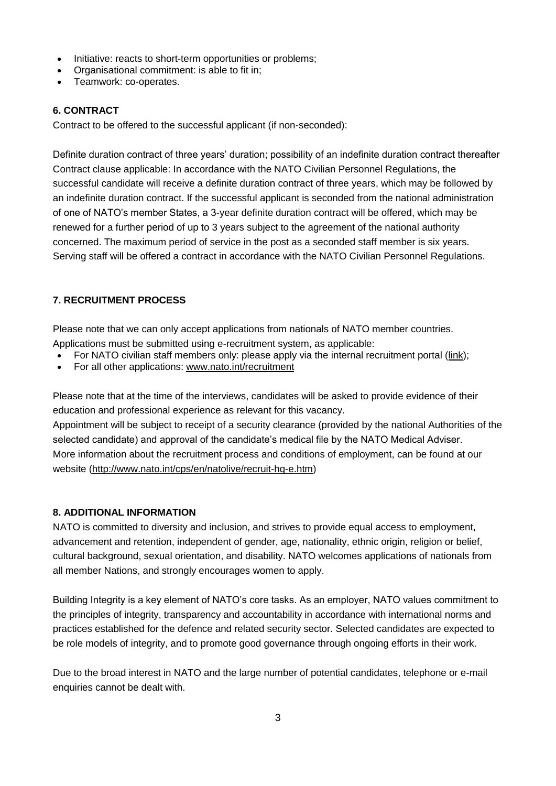- Initiative: reacts to short-term opportunities or problems;
- Organisational commitment: is able to fit in;
- Teamwork: co-operates.

# **6. CONTRACT**

Contract to be offered to the successful applicant (if non-seconded):

Definite duration contract of three years' duration; possibility of an indefinite duration contract thereafter Contract clause applicable: In accordance with the NATO Civilian Personnel Regulations, the successful candidate will receive a definite duration contract of three years, which may be followed by an indefinite duration contract. If the successful applicant is seconded from the national administration of one of NATO's member States, a 3-year definite duration contract will be offered, which may be renewed for a further period of up to 3 years subject to the agreement of the national authority concerned. The maximum period of service in the post as a seconded staff member is six years. Serving staff will be offered a contract in accordance with the NATO Civilian Personnel Regulations.

# **7. RECRUITMENT PROCESS**

Please note that we can only accept applications from nationals of NATO member countries.

- Applications must be submitted using e-recruitment system, as applicable:
- For NATO civilian staff members only: please apply via the internal recruitment portal [\(link\)](https://nato.taleo.net/careersection/1/jobsearch.ftl?lang=en);
- For all other applications: [www.nato.int/recruitment](http://www.nato.int/recruitment)

Please note that at the time of the interviews, candidates will be asked to provide evidence of their education and professional experience as relevant for this vacancy.

Appointment will be subject to receipt of a security clearance (provided by the national Authorities of the selected candidate) and approval of the candidate's medical file by the NATO Medical Adviser. More information about the recruitment process and conditions of employment, can be found at our website [\(http://www.nato.int/cps/en/natolive/recruit-hq-e.htm\)](http://www.nato.int/cps/en/natolive/recruit-hq-e.htm)

## **8. ADDITIONAL INFORMATION**

NATO is committed to diversity and inclusion, and strives to provide equal access to employment, advancement and retention, independent of gender, age, nationality, ethnic origin, religion or belief, cultural background, sexual orientation, and disability. NATO welcomes applications of nationals from all member Nations, and strongly encourages women to apply.

Building Integrity is a key element of NATO's core tasks. As an employer, NATO values commitment to the principles of integrity, transparency and accountability in accordance with international norms and practices established for the defence and related security sector. Selected candidates are expected to be role models of integrity, and to promote good governance through ongoing efforts in their work.

Due to the broad interest in NATO and the large number of potential candidates, telephone or e-mail enquiries cannot be dealt with.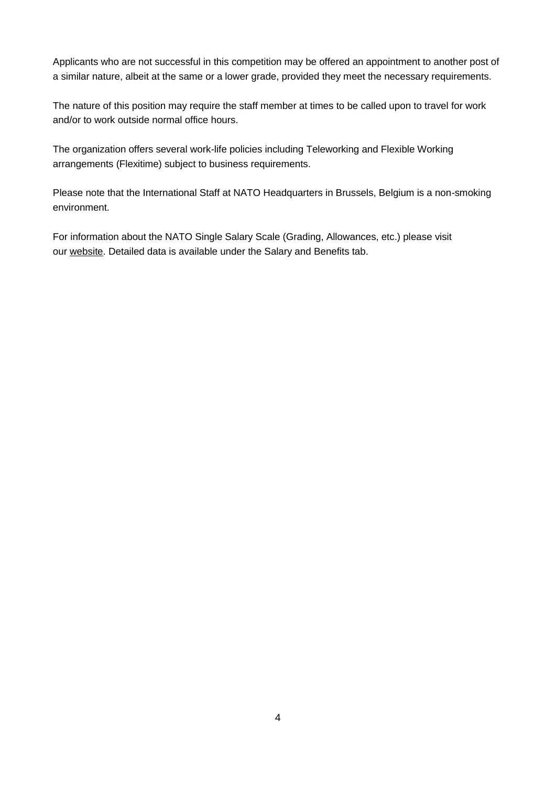Applicants who are not successful in this competition may be offered an appointment to another post of a similar nature, albeit at the same or a lower grade, provided they meet the necessary requirements.

The nature of this position may require the staff member at times to be called upon to travel for work and/or to work outside normal office hours.

The organization offers several work-life policies including Teleworking and Flexible Working arrangements (Flexitime) subject to business requirements.

Please note that the International Staff at NATO Headquarters in Brussels, Belgium is a non-smoking environment.

For information about the NATO Single Salary Scale (Grading, Allowances, etc.) please visit our [website.](https://www.nato.int/cps/en/natolive/86790.htm) Detailed data is available under the Salary and Benefits tab.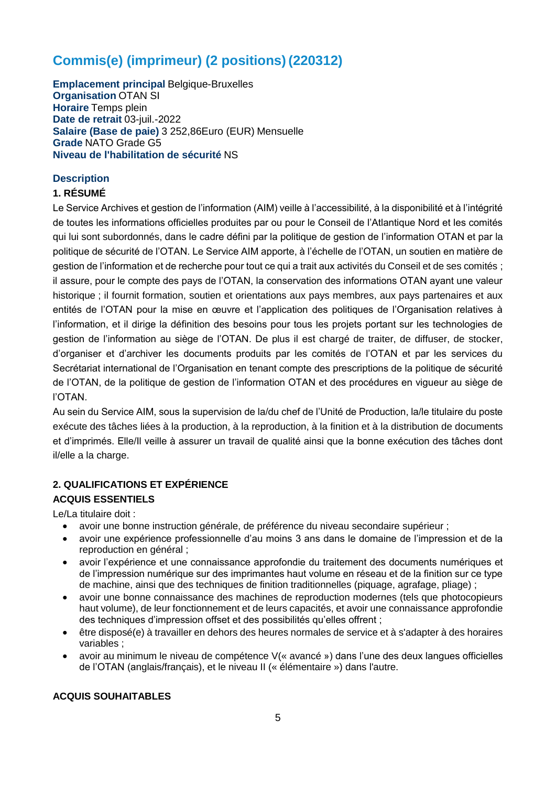# **Commis(e) (imprimeur) (2 positions) (220312)**

**Emplacement principal** Belgique-Bruxelles **Organisation** OTAN SI **Horaire** Temps plein **Date de retrait** 03-juil.-2022 **Salaire (Base de paie)** 3 252,86Euro (EUR) Mensuelle **Grade** NATO Grade G5 **Niveau de l'habilitation de sécurité** NS

# **Description**

# **1. RÉSUMÉ**

Le Service Archives et gestion de l'information (AIM) veille à l'accessibilité, à la disponibilité et à l'intégrité de toutes les informations officielles produites par ou pour le Conseil de l'Atlantique Nord et les comités qui lui sont subordonnés, dans le cadre défini par la politique de gestion de l'information OTAN et par la politique de sécurité de l'OTAN. Le Service AIM apporte, à l'échelle de l'OTAN, un soutien en matière de gestion de l'information et de recherche pour tout ce qui a trait aux activités du Conseil et de ses comités ; il assure, pour le compte des pays de l'OTAN, la conservation des informations OTAN ayant une valeur historique ; il fournit formation, soutien et orientations aux pays membres, aux pays partenaires et aux entités de l'OTAN pour la mise en œuvre et l'application des politiques de l'Organisation relatives à l'information, et il dirige la définition des besoins pour tous les projets portant sur les technologies de gestion de l'information au siège de l'OTAN. De plus il est chargé de traiter, de diffuser, de stocker, d'organiser et d'archiver les documents produits par les comités de l'OTAN et par les services du Secrétariat international de l'Organisation en tenant compte des prescriptions de la politique de sécurité de l'OTAN, de la politique de gestion de l'information OTAN et des procédures en vigueur au siège de l'OTAN.

Au sein du Service AIM, sous la supervision de la/du chef de l'Unité de Production, la/le titulaire du poste exécute des tâches liées à la production, à la reproduction, à la finition et à la distribution de documents et d'imprimés. Elle/Il veille à assurer un travail de qualité ainsi que la bonne exécution des tâches dont il/elle a la charge.

# **2. QUALIFICATIONS ET EXPÉRIENCE ACQUIS ESSENTIELS**

Le/La titulaire doit :

- avoir une bonne instruction générale, de préférence du niveau secondaire supérieur ;
- avoir une expérience professionnelle d'au moins 3 ans dans le domaine de l'impression et de la reproduction en général ;
- avoir l'expérience et une connaissance approfondie du traitement des documents numériques et de l'impression numérique sur des imprimantes haut volume en réseau et de la finition sur ce type de machine, ainsi que des techniques de finition traditionnelles (piquage, agrafage, pliage) ;
- avoir une bonne connaissance des machines de reproduction modernes (tels que photocopieurs haut volume), de leur fonctionnement et de leurs capacités, et avoir une connaissance approfondie des techniques d'impression offset et des possibilités qu'elles offrent ;
- être disposé(e) à travailler en dehors des heures normales de service et à s'adapter à des horaires variables ;
- avoir au minimum le niveau de compétence V(« avancé ») dans l'une des deux langues officielles de l'OTAN (anglais/français), et le niveau II (« élémentaire ») dans l'autre.

# **ACQUIS SOUHAITABLES**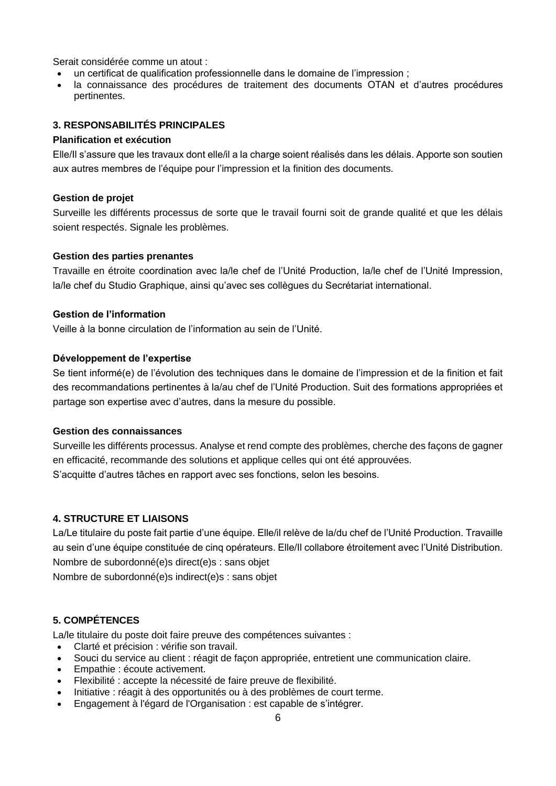Serait considérée comme un atout :

- un certificat de qualification professionnelle dans le domaine de l'impression ;
- la connaissance des procédures de traitement des documents OTAN et d'autres procédures pertinentes.

## **3. RESPONSABILITÉS PRINCIPALES**

## **Planification et exécution**

Elle/Il s'assure que les travaux dont elle/il a la charge soient réalisés dans les délais. Apporte son soutien aux autres membres de l'équipe pour l'impression et la finition des documents.

## **Gestion de projet**

Surveille les différents processus de sorte que le travail fourni soit de grande qualité et que les délais soient respectés. Signale les problèmes.

## **Gestion des parties prenantes**

Travaille en étroite coordination avec la/le chef de l'Unité Production, la/le chef de l'Unité Impression, la/le chef du Studio Graphique, ainsi qu'avec ses collègues du Secrétariat international.

## **Gestion de l'information**

Veille à la bonne circulation de l'information au sein de l'Unité.

## **Développement de l'expertise**

Se tient informé(e) de l'évolution des techniques dans le domaine de l'impression et de la finition et fait des recommandations pertinentes à la/au chef de l'Unité Production. Suit des formations appropriées et partage son expertise avec d'autres, dans la mesure du possible.

## **Gestion des connaissances**

Surveille les différents processus. Analyse et rend compte des problèmes, cherche des façons de gagner en efficacité, recommande des solutions et applique celles qui ont été approuvées. S'acquitte d'autres tâches en rapport avec ses fonctions, selon les besoins.

## **4. STRUCTURE ET LIAISONS**

La/Le titulaire du poste fait partie d'une équipe. Elle/il relève de la/du chef de l'Unité Production. Travaille au sein d'une équipe constituée de cinq opérateurs. Elle/Il collabore étroitement avec l'Unité Distribution. Nombre de subordonné(e)s direct(e)s : sans objet

Nombre de subordonné(e)s indirect(e)s : sans objet

## **5. COMPÉTENCES**

La/le titulaire du poste doit faire preuve des compétences suivantes :

- Clarté et précision : vérifie son travail.
- Souci du service au client : réagit de façon appropriée, entretient une communication claire.
- Empathie : écoute activement.
- Flexibilité : accepte la nécessité de faire preuve de flexibilité.
- Initiative : réagit à des opportunités ou à des problèmes de court terme.
- Engagement à l'égard de l'Organisation : est capable de s'intégrer.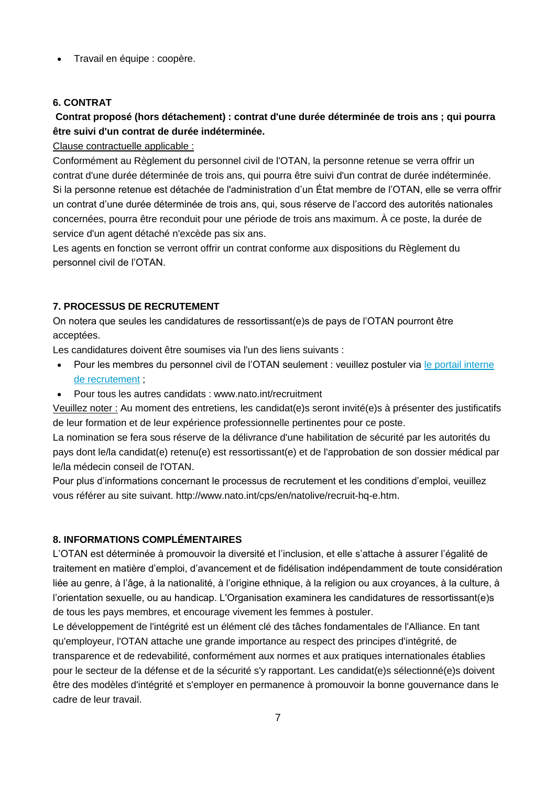Travail en équipe : coopère.

# **6. CONTRAT**

# **Contrat proposé (hors détachement) : contrat d'une durée déterminée de trois ans ; qui pourra être suivi d'un contrat de durée indéterminée.**

# Clause contractuelle applicable :

Conformément au Règlement du personnel civil de l'OTAN, la personne retenue se verra offrir un contrat d'une durée déterminée de trois ans, qui pourra être suivi d'un contrat de durée indéterminée. Si la personne retenue est détachée de l'administration d'un État membre de l'OTAN, elle se verra offrir un contrat d'une durée déterminée de trois ans, qui, sous réserve de l'accord des autorités nationales concernées, pourra être reconduit pour une période de trois ans maximum. À ce poste, la durée de service d'un agent détaché n'excède pas six ans.

Les agents en fonction se verront offrir un contrat conforme aux dispositions du Règlement du personnel civil de l'OTAN.

# **7. PROCESSUS DE RECRUTEMENT**

On notera que seules les candidatures de ressortissant(e)s de pays de l'OTAN pourront être acceptées.

Les candidatures doivent être soumises via l'un des liens suivants :

- Pour les membres du personnel civil de l'OTAN seulement : veuillez postuler via [le portail interne](http://nato.taleo.net/careersection/1/jobsearch.ftl?lang=en)  [de recrutement](http://nato.taleo.net/careersection/1/jobsearch.ftl?lang=en) ;
- Pour tous les autres candidats : www.nato.int/recruitment

Veuillez noter : Au moment des entretiens, les candidat(e)s seront invité(e)s à présenter des justificatifs de leur formation et de leur expérience professionnelle pertinentes pour ce poste.

La nomination se fera sous réserve de la délivrance d'une habilitation de sécurité par les autorités du pays dont le/la candidat(e) retenu(e) est ressortissant(e) et de l'approbation de son dossier médical par le/la médecin conseil de l'OTAN.

Pour plus d'informations concernant le processus de recrutement et les conditions d'emploi, veuillez vous référer au site suivant. http://www.nato.int/cps/en/natolive/recruit-hq-e.htm.

# **8. INFORMATIONS COMPLÉMENTAIRES**

L'OTAN est déterminée à promouvoir la diversité et l'inclusion, et elle s'attache à assurer l'égalité de traitement en matière d'emploi, d'avancement et de fidélisation indépendamment de toute considération liée au genre, à l'âge, à la nationalité, à l'origine ethnique, à la religion ou aux croyances, à la culture, à l'orientation sexuelle, ou au handicap. L'Organisation examinera les candidatures de ressortissant(e)s de tous les pays membres, et encourage vivement les femmes à postuler.

Le développement de l'intégrité est un élément clé des tâches fondamentales de l'Alliance. En tant qu'employeur, l'OTAN attache une grande importance au respect des principes d'intégrité, de transparence et de redevabilité, conformément aux normes et aux pratiques internationales établies pour le secteur de la défense et de la sécurité s'y rapportant. Les candidat(e)s sélectionné(e)s doivent être des modèles d'intégrité et s'employer en permanence à promouvoir la bonne gouvernance dans le cadre de leur travail.